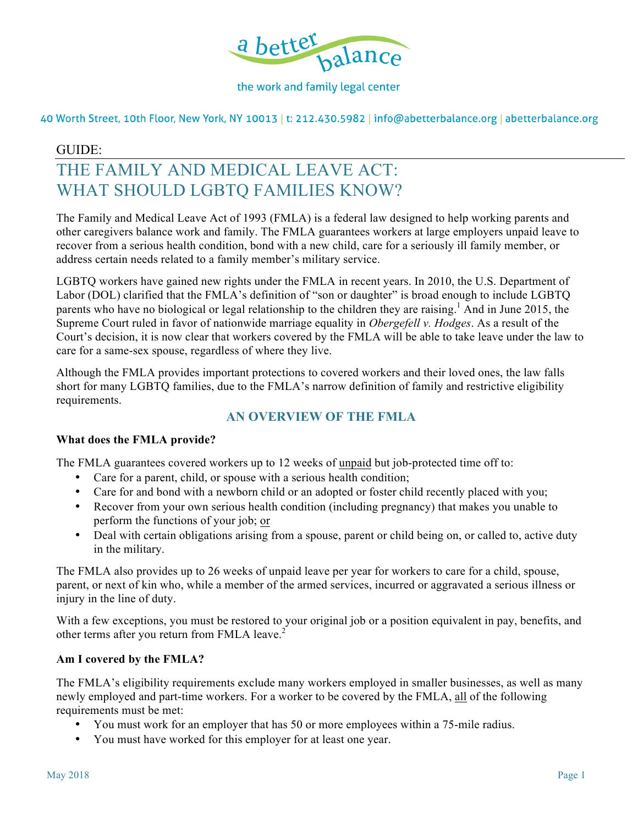

40 Worth Street, 10th Floor, New York, NY 10013 | t: 212.430.5982 | info@abetterbalance.org | abetterbalance.org

## GUIDE:

# THE FAMILY AND MEDICAL LEAVE ACT: WHAT SHOULD LGBTQ FAMILIES KNOW?

The Family and Medical Leave Act of 1993 (FMLA) is a federal law designed to help working parents and other caregivers balance work and family. The FMLA guarantees workers at large employers unpaid leave to recover from a serious health condition, bond with a new child, care for a seriously ill family member, or address certain needs related to a family member's military service.

LGBTQ workers have gained new rights under the FMLA in recent years. In 2010, the U.S. Department of Labor (DOL) clarified that the FMLA's definition of "son or daughter" is broad enough to include LGBTQ parents who have no biological or legal relationship to the children they are raising.<sup>1</sup> And in June 2015, the Supreme Court ruled in favor of nationwide marriage equality in *Obergefell v. Hodges*. As a result of the Court's decision, it is now clear that workers covered by the FMLA will be able to take leave under the law to care for a same-sex spouse, regardless of where they live.

Although the FMLA provides important protections to covered workers and their loved ones, the law falls short for many LGBTQ families, due to the FMLA's narrow definition of family and restrictive eligibility requirements.

# **AN OVERVIEW OF THE FMLA**

#### **What does the FMLA provide?**

The FMLA guarantees covered workers up to 12 weeks of unpaid but job-protected time off to:

- Care for a parent, child, or spouse with a serious health condition;
- Care for and bond with a newborn child or an adopted or foster child recently placed with you;
- Recover from your own serious health condition (including pregnancy) that makes you unable to perform the functions of your job; or
- Deal with certain obligations arising from a spouse, parent or child being on, or called to, active duty in the military.

The FMLA also provides up to 26 weeks of unpaid leave per year for workers to care for a child, spouse, parent, or next of kin who, while a member of the armed services, incurred or aggravated a serious illness or injury in the line of duty.

With a few exceptions, you must be restored to your original job or a position equivalent in pay, benefits, and other terms after you return from FMLA leave.<sup>2</sup>

#### **Am I covered by the FMLA?**

The FMLA's eligibility requirements exclude many workers employed in smaller businesses, as well as many newly employed and part-time workers. For a worker to be covered by the FMLA, all of the following requirements must be met:

- You must work for an employer that has 50 or more employees within a 75-mile radius.
- You must have worked for this employer for at least one year.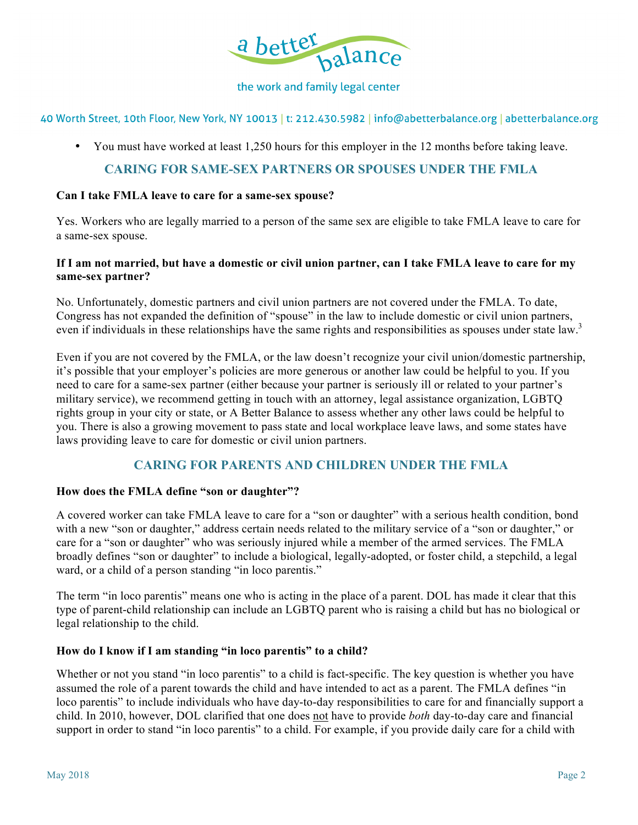

40 Worth Street, 10th Floor, New York, NY 10013 | t: 212.430.5982 | info@abetterbalance.org | abetterbalance.org

• You must have worked at least 1,250 hours for this employer in the 12 months before taking leave.

## **CARING FOR SAME-SEX PARTNERS OR SPOUSES UNDER THE FMLA**

#### **Can I take FMLA leave to care for a same-sex spouse?**

Yes. Workers who are legally married to a person of the same sex are eligible to take FMLA leave to care for a same-sex spouse.

## **If I am not married, but have a domestic or civil union partner, can I take FMLA leave to care for my same-sex partner?**

No. Unfortunately, domestic partners and civil union partners are not covered under the FMLA. To date, Congress has not expanded the definition of "spouse" in the law to include domestic or civil union partners, even if individuals in these relationships have the same rights and responsibilities as spouses under state law.<sup>3</sup>

Even if you are not covered by the FMLA, or the law doesn't recognize your civil union/domestic partnership, it's possible that your employer's policies are more generous or another law could be helpful to you. If you need to care for a same-sex partner (either because your partner is seriously ill or related to your partner's military service), we recommend getting in touch with an attorney, legal assistance organization, LGBTQ rights group in your city or state, or A Better Balance to assess whether any other laws could be helpful to you. There is also a growing movement to pass state and local workplace leave laws, and some states have laws providing leave to care for domestic or civil union partners.

# **CARING FOR PARENTS AND CHILDREN UNDER THE FMLA**

#### **How does the FMLA define "son or daughter"?**

A covered worker can take FMLA leave to care for a "son or daughter" with a serious health condition, bond with a new "son or daughter," address certain needs related to the military service of a "son or daughter," or care for a "son or daughter" who was seriously injured while a member of the armed services. The FMLA broadly defines "son or daughter" to include a biological, legally-adopted, or foster child, a stepchild, a legal ward, or a child of a person standing "in loco parentis."

The term "in loco parentis" means one who is acting in the place of a parent. DOL has made it clear that this type of parent-child relationship can include an LGBTQ parent who is raising a child but has no biological or legal relationship to the child.

#### **How do I know if I am standing "in loco parentis" to a child?**

Whether or not you stand "in loco parentis" to a child is fact-specific. The key question is whether you have assumed the role of a parent towards the child and have intended to act as a parent. The FMLA defines "in loco parentis" to include individuals who have day-to-day responsibilities to care for and financially support a child. In 2010, however, DOL clarified that one does not have to provide *both* day-to-day care and financial support in order to stand "in loco parentis" to a child. For example, if you provide daily care for a child with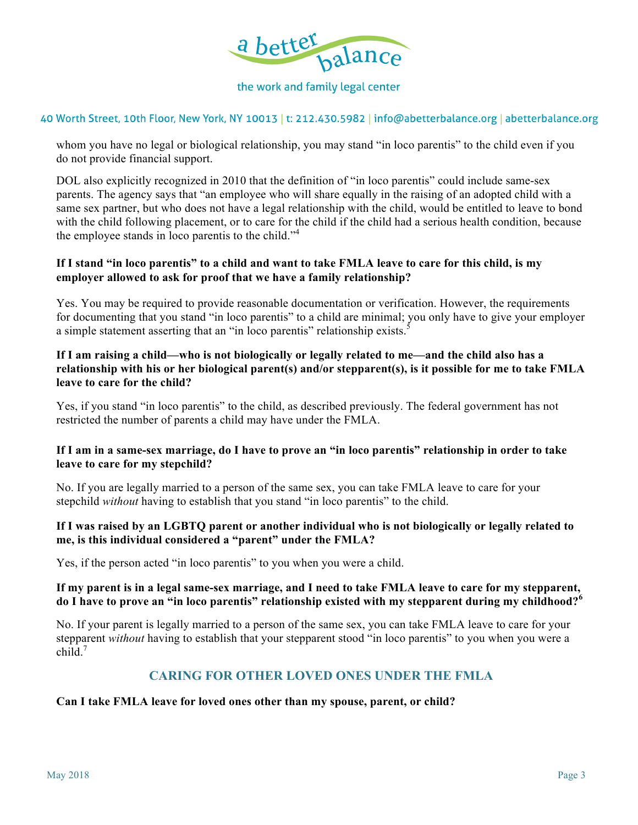

#### 40 Worth Street, 10th Floor, New York, NY 10013 | t: 212.430.5982 | info@abetterbalance.org | abetterbalance.org

whom you have no legal or biological relationship, you may stand "in loco parentis" to the child even if you do not provide financial support.

DOL also explicitly recognized in 2010 that the definition of "in loco parentis" could include same-sex parents. The agency says that "an employee who will share equally in the raising of an adopted child with a same sex partner, but who does not have a legal relationship with the child, would be entitled to leave to bond with the child following placement, or to care for the child if the child had a serious health condition, because the employee stands in loco parentis to the child."<sup>4</sup>

## **If I stand "in loco parentis" to a child and want to take FMLA leave to care for this child, is my employer allowed to ask for proof that we have a family relationship?**

Yes. You may be required to provide reasonable documentation or verification. However, the requirements for documenting that you stand "in loco parentis" to a child are minimal; you only have to give your employer a simple statement asserting that an "in loco parentis" relationship exists.<sup>5</sup>

## **If I am raising a child—who is not biologically or legally related to me—and the child also has a relationship with his or her biological parent(s) and/or stepparent(s), is it possible for me to take FMLA leave to care for the child?**

Yes, if you stand "in loco parentis" to the child, as described previously. The federal government has not restricted the number of parents a child may have under the FMLA.

## **If I am in a same-sex marriage, do I have to prove an "in loco parentis" relationship in order to take leave to care for my stepchild?**

No. If you are legally married to a person of the same sex, you can take FMLA leave to care for your stepchild *without* having to establish that you stand "in loco parentis" to the child.

## **If I was raised by an LGBTQ parent or another individual who is not biologically or legally related to me, is this individual considered a "parent" under the FMLA?**

Yes, if the person acted "in loco parentis" to you when you were a child.

## **If my parent is in a legal same-sex marriage, and I need to take FMLA leave to care for my stepparent, do I have to prove an "in loco parentis" relationship existed with my stepparent during my childhood?<sup>6</sup>**

No. If your parent is legally married to a person of the same sex, you can take FMLA leave to care for your stepparent *without* having to establish that your stepparent stood "in loco parentis" to you when you were a child. $7$ 

# **CARING FOR OTHER LOVED ONES UNDER THE FMLA**

#### **Can I take FMLA leave for loved ones other than my spouse, parent, or child?**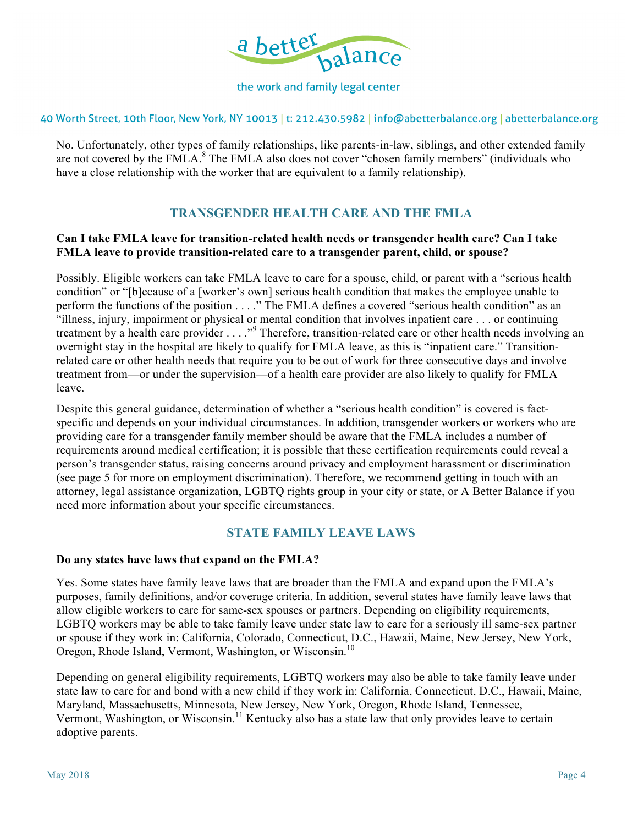

40 Worth Street, 10th Floor, New York, NY 10013 | t: 212.430.5982 | info@abetterbalance.org | abetterbalance.org

No. Unfortunately, other types of family relationships, like parents-in-law, siblings, and other extended family are not covered by the FMLA.<sup>8</sup> The FMLA also does not cover "chosen family members" (individuals who have a close relationship with the worker that are equivalent to a family relationship).

# **TRANSGENDER HEALTH CARE AND THE FMLA**

## **Can I take FMLA leave for transition-related health needs or transgender health care? Can I take FMLA leave to provide transition-related care to a transgender parent, child, or spouse?**

Possibly. Eligible workers can take FMLA leave to care for a spouse, child, or parent with a "serious health condition" or "[b]ecause of a [worker's own] serious health condition that makes the employee unable to perform the functions of the position . . . ." The FMLA defines a covered "serious health condition" as an "illness, injury, impairment or physical or mental condition that involves inpatient care . . . or continuing treatment by a health care provider . . . ."<sup>9</sup> Therefore, transition-related care or other health needs involving an overnight stay in the hospital are likely to qualify for FMLA leave, as this is "inpatient care." Transitionrelated care or other health needs that require you to be out of work for three consecutive days and involve treatment from—or under the supervision—of a health care provider are also likely to qualify for FMLA leave.

Despite this general guidance, determination of whether a "serious health condition" is covered is factspecific and depends on your individual circumstances. In addition, transgender workers or workers who are providing care for a transgender family member should be aware that the FMLA includes a number of requirements around medical certification; it is possible that these certification requirements could reveal a person's transgender status, raising concerns around privacy and employment harassment or discrimination (see page 5 for more on employment discrimination). Therefore, we recommend getting in touch with an attorney, legal assistance organization, LGBTQ rights group in your city or state, or A Better Balance if you need more information about your specific circumstances.

# **STATE FAMILY LEAVE LAWS**

#### **Do any states have laws that expand on the FMLA?**

Yes. Some states have family leave laws that are broader than the FMLA and expand upon the FMLA's purposes, family definitions, and/or coverage criteria. In addition, several states have family leave laws that allow eligible workers to care for same-sex spouses or partners. Depending on eligibility requirements, LGBTQ workers may be able to take family leave under state law to care for a seriously ill same-sex partner or spouse if they work in: California, Colorado, Connecticut, D.C., Hawaii, Maine, New Jersey, New York, Oregon, Rhode Island, Vermont, Washington, or Wisconsin.<sup>10</sup>

Depending on general eligibility requirements, LGBTQ workers may also be able to take family leave under state law to care for and bond with a new child if they work in: California, Connecticut, D.C., Hawaii, Maine, Maryland, Massachusetts, Minnesota, New Jersey, New York, Oregon, Rhode Island, Tennessee, Vermont, Washington, or Wisconsin.<sup>11</sup> Kentucky also has a state law that only provides leave to certain adoptive parents.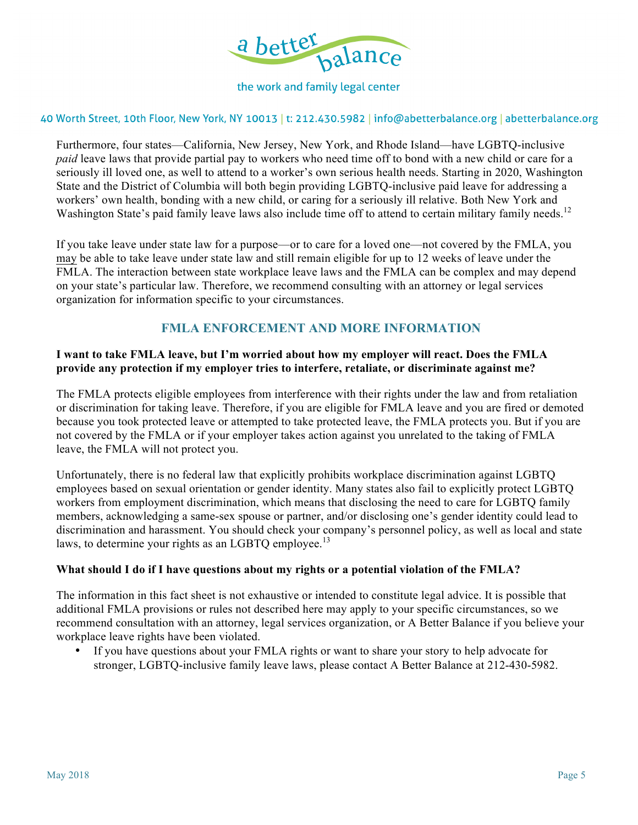

#### 40 Worth Street, 10th Floor, New York, NY 10013 | t: 212.430.5982 | info@abetterbalance.org | abetterbalance.org

Furthermore, four states—California, New Jersey, New York, and Rhode Island—have LGBTQ-inclusive *paid* leave laws that provide partial pay to workers who need time off to bond with a new child or care for a seriously ill loved one, as well to attend to a worker's own serious health needs. Starting in 2020, Washington State and the District of Columbia will both begin providing LGBTQ-inclusive paid leave for addressing a workers' own health, bonding with a new child, or caring for a seriously ill relative. Both New York and Washington State's paid family leave laws also include time off to attend to certain military family needs.<sup>12</sup>

If you take leave under state law for a purpose—or to care for a loved one—not covered by the FMLA, you may be able to take leave under state law and still remain eligible for up to 12 weeks of leave under the FMLA. The interaction between state workplace leave laws and the FMLA can be complex and may depend on your state's particular law. Therefore, we recommend consulting with an attorney or legal services organization for information specific to your circumstances.

## **FMLA ENFORCEMENT AND MORE INFORMATION**

### **I want to take FMLA leave, but I'm worried about how my employer will react. Does the FMLA provide any protection if my employer tries to interfere, retaliate, or discriminate against me?**

The FMLA protects eligible employees from interference with their rights under the law and from retaliation or discrimination for taking leave. Therefore, if you are eligible for FMLA leave and you are fired or demoted because you took protected leave or attempted to take protected leave, the FMLA protects you. But if you are not covered by the FMLA or if your employer takes action against you unrelated to the taking of FMLA leave, the FMLA will not protect you.

Unfortunately, there is no federal law that explicitly prohibits workplace discrimination against LGBTQ employees based on sexual orientation or gender identity. Many states also fail to explicitly protect LGBTQ workers from employment discrimination, which means that disclosing the need to care for LGBTQ family members, acknowledging a same-sex spouse or partner, and/or disclosing one's gender identity could lead to discrimination and harassment. You should check your company's personnel policy, as well as local and state laws, to determine your rights as an LGBTQ employee.<sup>13</sup>

#### **What should I do if I have questions about my rights or a potential violation of the FMLA?**

The information in this fact sheet is not exhaustive or intended to constitute legal advice. It is possible that additional FMLA provisions or rules not described here may apply to your specific circumstances, so we recommend consultation with an attorney, legal services organization, or A Better Balance if you believe your workplace leave rights have been violated.

• If you have questions about your FMLA rights or want to share your story to help advocate for stronger, LGBTQ-inclusive family leave laws, please contact A Better Balance at 212-430-5982.